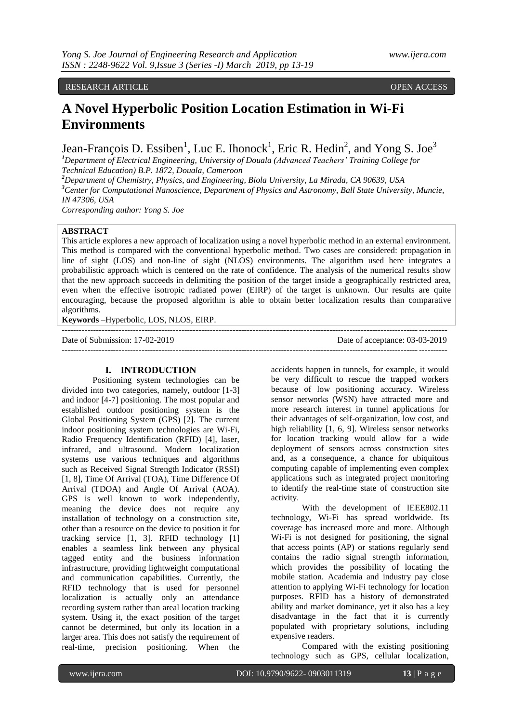#### RESEARCH ARTICLE OPEN ACCESS

# **A Novel Hyperbolic Position Location Estimation in Wi-Fi Environments**

Jean-François D. Essiben<sup>1</sup>, Luc E. Ihonock<sup>1</sup>, Eric R. Hedin<sup>2</sup>, and Yong S. Joe<sup>3</sup>

*<sup>1</sup>Department of Electrical Engineering, University of Douala (Advanced Teachers' Training College for Technical Education) B.P. 1872, Douala, Cameroon*

*<sup>2</sup>Department of Chemistry, Physics, and Engineering, Biola University, La Mirada, CA 90639, USA <sup>3</sup>Center for Computational Nanoscience, Department of Physics and Astronomy, Ball State University, Muncie, IN 47306, USA Corresponding author: Yong S. Joe*

# **ABSTRACT**

This article explores a new approach of localization using a novel hyperbolic method in an external environment. This method is compared with the conventional hyperbolic method. Two cases are considered: propagation in line of sight (LOS) and non-line of sight (NLOS) environments. The algorithm used here integrates a probabilistic approach which is centered on the rate of confidence. The analysis of the numerical results show that the new approach succeeds in delimiting the position of the target inside a geographically restricted area, even when the effective isotropic radiated power (EIRP) of the target is unknown. Our results are quite encouraging, because the proposed algorithm is able to obtain better localization results than comparative algorithms.

---------------------------------------------------------------------------------------------------------------------------------------

**Keywords** –Hyperbolic, LOS, NLOS, EIRP.

Date of Submission: 17-02-2019 Date of acceptance: 03-03-2019 ---------------------------------------------------------------------------------------------------------------------------------------

### **I. INTRODUCTION**

Positioning system technologies can be divided into two categories, namely, outdoor [1-3] and indoor [4-7] positioning. The most popular and established outdoor positioning system is the Global Positioning System (GPS) [2]. The current indoor positioning system technologies are Wi-Fi, Radio Frequency Identification (RFID) [4], laser, infrared, and ultrasound. Modern localization systems use various techniques and algorithms such as Received Signal Strength Indicator (RSSI) [1, 8], Time Of Arrival (TOA), Time Difference Of Arrival (TDOA) and Angle Of Arrival (AOA). GPS is well known to work independently, meaning the device does not require any installation of technology on a construction site, other than a resource on the device to position it for tracking service [1, 3]. RFID technology [1] enables a seamless link between any physical tagged entity and the business information infrastructure, providing lightweight computational and communication capabilities. Currently, the RFID technology that is used for personnel localization is actually only an attendance recording system rather than areal location tracking system. Using it, the exact position of the target cannot be determined, but only its location in a larger area. This does not satisfy the requirement of real-time, precision positioning. When the

accidents happen in tunnels, for example, it would be very difficult to rescue the trapped workers because of low positioning accuracy. Wireless sensor networks (WSN) have attracted more and more research interest in tunnel applications for their advantages of self-organization, low cost, and high reliability [1, 6, 9]. Wireless sensor networks for location tracking would allow for a wide deployment of sensors across construction sites and, as a consequence, a chance for ubiquitous computing capable of implementing even complex applications such as integrated project monitoring to identify the real-time state of construction site activity.

With the development of IEEE802.11 technology, Wi-Fi has spread worldwide. Its coverage has increased more and more. Although Wi-Fi is not designed for positioning, the signal that access points (AP) or stations regularly send contains the radio signal strength information, which provides the possibility of locating the mobile station. Academia and industry pay close attention to applying Wi-Fi technology for location purposes. RFID has a history of demonstrated ability and market dominance, yet it also has a key disadvantage in the fact that it is currently populated with proprietary solutions, including expensive readers.

Compared with the existing positioning technology such as GPS, cellular localization,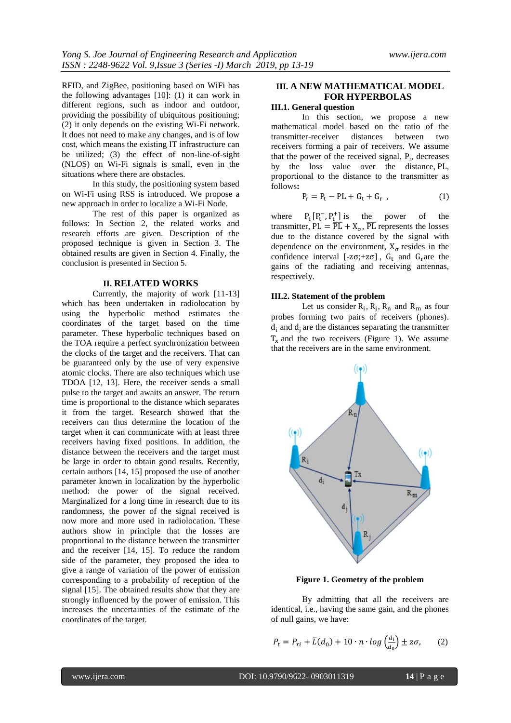RFID, and ZigBee, positioning based on WiFi has the following advantages [10]: (1) it can work in different regions, such as indoor and outdoor, providing the possibility of ubiquitous positioning; (2) it only depends on the existing Wi-Fi network. It does not need to make any changes, and is of low cost, which means the existing IT infrastructure can be utilized; (3) the effect of non-line-of-sight (NLOS) on Wi-Fi signals is small, even in the situations where there are obstacles.

In this study, the positioning system based on Wi-Fi using RSS is introduced. We propose a new approach in order to localize a Wi-Fi Node.

The rest of this paper is organized as follows: In Section 2, the related works and research efforts are given. Description of the proposed technique is given in Section 3. The obtained results are given in Section 4. Finally, the conclusion is presented in Section 5.

#### **II. RELATED WORKS**

Currently, the majority of work [11-13] which has been undertaken in radiolocation by using the hyperbolic method estimates the coordinates of the target based on the time parameter. These hyperbolic techniques based on the TOA require a perfect synchronization between the clocks of the target and the receivers. That can be guaranteed only by the use of very expensive atomic clocks. There are also techniques which use TDOA [12, 13]. Here, the receiver sends a small pulse to the target and awaits an answer. The return time is proportional to the distance which separates it from the target. Research showed that the receivers can thus determine the location of the target when it can communicate with at least three receivers having fixed positions. In addition, the distance between the receivers and the target must be large in order to obtain good results. Recently, certain authors [14, 15] proposed the use of another parameter known in localization by the hyperbolic method: the power of the signal received. Marginalized for a long time in research due to its randomness, the power of the signal received is now more and more used in radiolocation. These authors show in principle that the losses are proportional to the distance between the transmitter and the receiver [14, 15]. To reduce the random side of the parameter, they proposed the idea to give a range of variation of the power of emission corresponding to a probability of reception of the signal [15]. The obtained results show that they are strongly influenced by the power of emission. This increases the uncertainties of the estimate of the coordinates of the target.

## **III. A NEW MATHEMATICAL MODEL FOR HYPERBOLAS**

# **III.1. General question**

In this section, we propose a new mathematical model based on the ratio of the transmitter-receiver distances between two receivers forming a pair of receivers. We assume that the power of the received signal,  $P_r$ , decreases by the loss value over the distance, PL, proportional to the distance to the transmitter as follows**:**

$$
P_r = P_t - PL + G_t + G_r , \qquad (1)
$$

where  $[P_t^-, P_t^+]$  is the power of the transmitter,  $PL = \overline{PL} + X_{\sigma}$ ,  $\overline{PL}$  represents the losses due to the distance covered by the signal with dependence on the environment,  $X_{\sigma}$  resides in the confidence interval [-z $\sigma$ ;+z $\sigma$ ],  $G_t$  and  $G_r$  are the gains of the radiating and receiving antennas, respectively.

### **III.2. Statement of the problem**

Let us consider  $R_i$ ,  $R_j$ ,  $R_n$  and  $R_m$  as four probes forming two pairs of receivers (phones).  $d_i$  and  $d_i$  are the distances separating the transmitter  $T_x$  and the two receivers (Figure 1). We assume that the receivers are in the same environment.



**Figure 1. Geometry of the problem**

By admitting that all the receivers are identical, i.e., having the same gain, and the phones of null gains, we have:

$$
P_t = P_{ri} + \bar{L}(d_0) + 10 \cdot n \cdot \log\left(\frac{d_i}{d_0}\right) \pm z\sigma,\qquad(2)
$$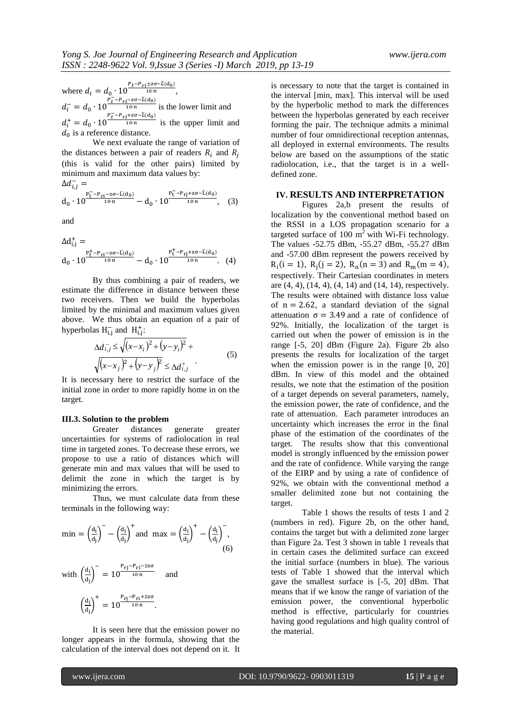where  $d_i = d_0 \cdot 10^{\frac{P_t - P_{ri} \pm z \sigma - \bar{L}(d_0)}{10 \cdot n}},$  $d_i^- = d_0 \cdot 10^{\frac{P_t^- - P_{ri} - z\sigma - \bar{L}(d_0)}{10 \cdot n}}$  $\frac{10<sub>0</sub>}{10<sub>0</sub> n}$  is the lower limit and  $d_i^+ = d_0 \cdot 10^{\frac{P_t^- - P_{ri} + z\sigma - \bar{L}(d_0)}{10 \cdot n}}$ is the upper limit and  $d_0$  is a reference distance.

We next evaluate the range of variation of the distances between a pair of readers  $R_i$  and  $R_j$ (this is valid for the other pairs) limited by minimum and maximum data values by:

$$
\Delta d_{i,j}^- =
$$
\n
$$
d_0 \cdot 10^{\frac{P_t^- - P_{rj} - z\sigma - \bar{L}(d_0)}{10 \cdot n}} - d_0 \cdot 10^{\frac{P_t^- - P_{rj} + z\sigma - \bar{L}(d_0)}{10 \cdot n}}, \quad (3)
$$

and

$$
\begin{array}{l} \Delta d_{i,j}^{+} = \\ d_{0} \cdot 10^{ \frac{p_{t}^{+} - p_{ri} - z \sigma - \overline{L}(d_{0}) }{10 \cdot n} - d_{0} \cdot 10^{ \frac{p_{t}^{+} - p_{rj} + z \sigma - \overline{L}(d_{0}) }{10 \cdot n} }. \end{array} \quad (4)
$$

By thus combining a pair of readers, we estimate the difference in distance between these two receivers. Then we build the hyperbolas limited by the minimal and maximum values given above. We thus obtain an equation of a pair of hyperbolas  $H_{i,j}^-$  and  $H_{i,j}^+$ :

$$
\Delta d_{i,j}^{-} \le \sqrt{(x-x_i)^2 + (y-y_i)^2} + \sqrt{(x-x_j)^2 + (y-y_j)^2} \le \Delta d_{i,j}^{+} \tag{5}
$$

It is necessary here to restrict the surface of the initial zone in order to more rapidly home in on the target.

#### **III.3. Solution to the problem**

Greater distances generate greater uncertainties for systems of radiolocation in real time in targeted zones. To decrease these errors, we propose to use a ratio of distances which will generate min and max values that will be used to delimit the zone in which the target is by minimizing the errors.

Thus, we must calculate data from these terminals in the following way:

$$
\min = \left(\frac{d_i}{d_j}\right)^{-} - \left(\frac{d_i}{d_j}\right)^{+} \text{ and } \max = \left(\frac{d_i}{d_j}\right)^{+} - \left(\frac{d_i}{d_j}\right)^{-},\tag{6}
$$
\n
$$
\text{with } \left(\frac{d_i}{d_j}\right)^{-} = 10^{\frac{P_{rj} - P_{r1} - 2z\sigma}{10 \cdot n}} \quad \text{and}
$$

$$
\left(\frac{d_i}{d_j}\right)^+=10^{\frac{P_{rj}-P_{ri}+2z\sigma}{10\cdot n}}.
$$

It is seen here that the emission power no longer appears in the formula, showing that the calculation of the interval does not depend on it. It is necessary to note that the target is contained in the interval [min, max]. This interval will be used by the hyperbolic method to mark the differences between the hyperbolas generated by each receiver forming the pair. The technique admits a minimal number of four omnidirectional reception antennas, all deployed in external environments. The results below are based on the assumptions of the static radiolocation, i.e., that the target is in a welldefined zone.

#### **IV. RESULTS AND INTERPRETATION**

Figures 2a,b present the results of localization by the conventional method based on the RSSI in a LOS propagation scenario for a targeted surface of 100  $m<sup>2</sup>$  with Wi-Fi technology. The values -52.75 dBm, -55.27 dBm, -55.27 dBm and -57.00 dBm represent the powers received by  $R_i(i = 1), R_j(j = 2), R_n(n = 3)$  and  $R_m(m = 4)$ , respectively. Their Cartesian coordinates in meters are (4, 4), (14, 4), (4, 14) and (14, 14), respectively. The results were obtained with distance loss value of  $n = 2.62$ , a standard deviation of the signal attenuation  $\sigma = 3.49$  and a rate of confidence of 92%. Initially, the localization of the target is carried out when the power of emission is in the range [-5, 20] dBm (Figure 2a). Figure 2b also presents the results for localization of the target when the emission power is in the range [0, 20] dBm. In view of this model and the obtained results, we note that the estimation of the position of a target depends on several parameters, namely, the emission power, the rate of confidence, and the rate of attenuation. Each parameter introduces an uncertainty which increases the error in the final phase of the estimation of the coordinates of the target. The results show that this conventional model is strongly influenced by the emission power and the rate of confidence. While varying the range of the EIRP and by using a rate of confidence of 92%, we obtain with the conventional method a smaller delimited zone but not containing the target.

Table 1 shows the results of tests 1 and 2 (numbers in red). Figure 2b, on the other hand, contains the target but with a delimited zone larger than Figure 2a. Test 3 shown in table 1 reveals that in certain cases the delimited surface can exceed the initial surface (numbers in blue). The various tests of Table 1 showed that the interval which gave the smallest surface is [-5, 20] dBm. That means that if we know the range of variation of the emission power, the conventional hyperbolic method is effective, particularly for countries having good regulations and high quality control of the material.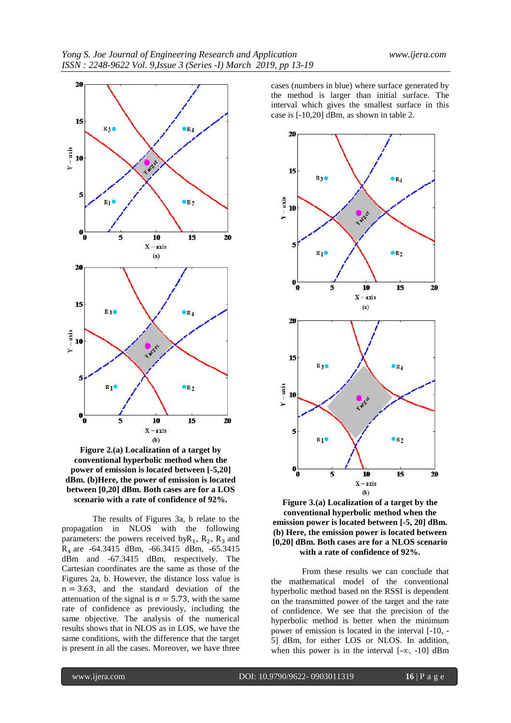

**Figure 2.(a) Localization of a target by conventional hyperbolic method when the power of emission is located between [-5,20] dBm. (b)Here, the power of emission is located between [0,20] dBm. Both cases are for a LOS scenario with a rate of confidence of 92%.**

The results of Figures 3a, b relate to the propagation in NLOS with the following parameters: the powers received by  $R_1$ ,  $R_2$ ,  $R_3$  and R<sup>4</sup> are -64.3415 dBm, -66.3415 dBm, -65.3415 dBm and -67.3415 dBm, respectively. The Cartesian coordinates are the same as those of the Figures 2a, b. However, the distance loss value is  $n = 3.63$ , and the standard deviation of the attenuation of the signal is  $\sigma = 5.73$ , with the same rate of confidence as previously, including the same objective. The analysis of the numerical results shows that in NLOS as in LOS, we have the same conditions, with the difference that the target is present in all the cases. Moreover, we have three

cases (numbers in blue) where surface generated by the method is larger than initial surface. The interval which gives the smallest surface in this case is [-10,20] dBm, as shown in table 2.



**Figure 3.(a) Localization of a target by the conventional hyperbolic method when the emission power is located between [-5, 20] dBm. (b) Here, the emission power is located between [0,20] dBm. Both cases are for a NLOS scenario with a rate of confidence of 92%.**

From these results we can conclude that the mathematical model of the conventional hyperbolic method based on the RSSI is dependent on the transmitted power of the target and the rate of confidence. We see that the precision of the hyperbolic method is better when the minimum power of emission is located in the interval [-10, - 5] dBm, for either LOS or NLOS. In addition, when this power is in the interval  $[-\infty, -10]$  dBm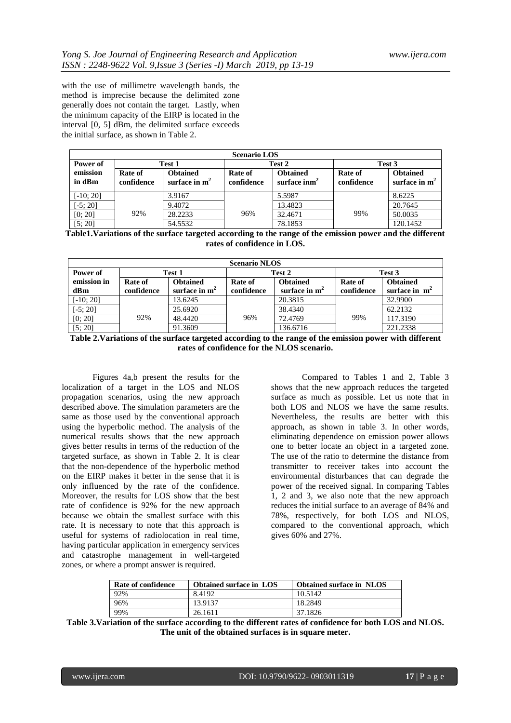with the use of millimetre wavelength bands, the method is imprecise because the delimited zone generally does not contain the target. Lastly, when the minimum capacity of the EIRP is located in the interval [0, 5] dBm, the delimited surface exceeds the initial surface, as shown in Table 2.

| <b>Scenario LOS</b> |                       |                                    |                       |                                           |                       |                                    |  |  |  |
|---------------------|-----------------------|------------------------------------|-----------------------|-------------------------------------------|-----------------------|------------------------------------|--|--|--|
| Power of            | Test 1                |                                    | Test 2                |                                           | Test 3                |                                    |  |  |  |
| emission<br>in dBm  | Rate of<br>confidence | <b>Obtained</b><br>surface in $m2$ | Rate of<br>confidence | <b>Obtained</b><br>surface $\text{inm}^2$ | Rate of<br>confidence | <b>Obtained</b><br>surface in $m2$ |  |  |  |
| $[-10; 20]$         |                       | 3.9167                             |                       | 5.5987                                    |                       | 8.6225                             |  |  |  |
| $[-5; 20]$          |                       | 9.4072                             |                       | 13.4823                                   |                       | 20.7645                            |  |  |  |
| [0; 20]             | 92%                   | 28.2233                            | 96%                   | 32.4671                                   | 99%                   | 50.0035                            |  |  |  |
| [5; 20]             |                       | 54.5532                            |                       | 78.1853                                   |                       | 120.1452                           |  |  |  |

**Table1.Variations of the surface targeted according to the range of the emission power and the different rates of confidence in LOS.**

| <b>Scenario NLOS</b> |            |                 |            |                 |            |                 |  |  |  |
|----------------------|------------|-----------------|------------|-----------------|------------|-----------------|--|--|--|
| Power of             | Test 1     |                 | Test 2     |                 | Test 3     |                 |  |  |  |
| emission in          | Rate of    | <b>Obtained</b> | Rate of    | <b>Obtained</b> | Rate of    | <b>Obtained</b> |  |  |  |
| dBm                  | confidence | surface in $m2$ | confidence | surface in $m2$ | confidence | surface in $m2$ |  |  |  |
| $[-10; 20]$          |            | 13.6245         |            | 20.3815         |            | 32.9900         |  |  |  |
| $[-5; 20]$           |            | 25.6920         |            | 38.4340         |            | 62.2132         |  |  |  |
| [0; 20]              | 92%        | 48.4420         | 96%        | 72.4769         | 99%        | 117.3190        |  |  |  |
| [5; 20]              |            | 91.3609         |            | 136.6716        |            | 221.2338        |  |  |  |

**Table 2.Variations of the surface targeted according to the range of the emission power with different rates of confidence for the NLOS scenario.**

Figures 4a,b present the results for the localization of a target in the LOS and NLOS propagation scenarios, using the new approach described above. The simulation parameters are the same as those used by the conventional approach using the hyperbolic method. The analysis of the numerical results shows that the new approach gives better results in terms of the reduction of the targeted surface, as shown in Table 2. It is clear that the non-dependence of the hyperbolic method on the EIRP makes it better in the sense that it is only influenced by the rate of the confidence. Moreover, the results for LOS show that the best rate of confidence is 92% for the new approach because we obtain the smallest surface with this rate. It is necessary to note that this approach is useful for systems of radiolocation in real time, having particular application in emergency services and catastrophe management in well-targeted zones, or where a prompt answer is required.

Compared to Tables 1 and 2, Table 3 shows that the new approach reduces the targeted surface as much as possible. Let us note that in both LOS and NLOS we have the same results. Nevertheless, the results are better with this approach, as shown in table 3. In other words, eliminating dependence on emission power allows one to better locate an object in a targeted zone. The use of the ratio to determine the distance from transmitter to receiver takes into account the environmental disturbances that can degrade the power of the received signal. In comparing Tables 1, 2 and 3, we also note that the new approach reduces the initial surface to an average of 84% and 78%, respectively, for both LOS and NLOS, compared to the conventional approach, which gives 60% and 27%.

| Rate of confidence | <b>Obtained surface in LOS</b> | <b>Obtained surface in NLOS</b> |
|--------------------|--------------------------------|---------------------------------|
| 92%                | 8.4192                         | 10.5142                         |
| 96%                | 13.9137                        | 18.2849                         |
| 99%                | 26.1611                        | 37.1826                         |

**Table 3.Variation of the surface according to the different rates of confidence for both LOS and NLOS. The unit of the obtained surfaces is in square meter.**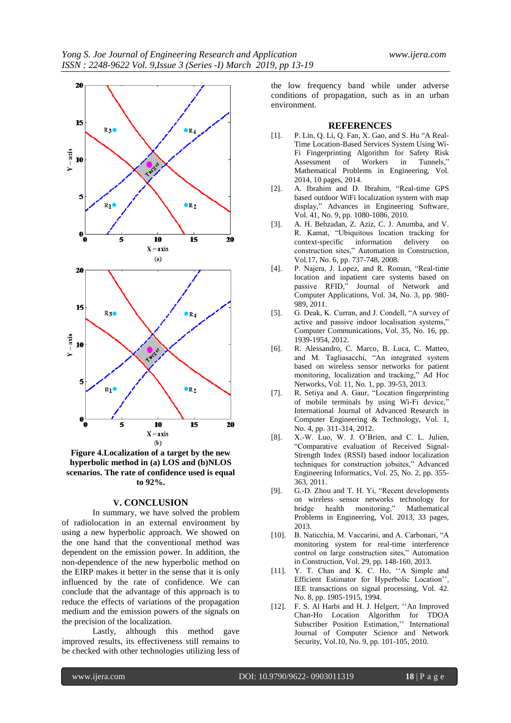

**Figure 4.Localization of a target by the new hyperbolic method in (a) LOS and (b)NLOS scenarios. The rate of confidence used is equal to 92%.**

#### **V. CONCLUSION**

In summary, we have solved the problem of radiolocation in an external environment by using a new hyperbolic approach. We showed on the one hand that the conventional method was dependent on the emission power. In addition, the non-dependence of the new hyperbolic method on the EIRP makes it better in the sense that it is only influenced by the rate of confidence. We can conclude that the advantage of this approach is to reduce the effects of variations of the propagation medium and the emission powers of the signals on the precision of the localization.

Lastly, although this method gave improved results, its effectiveness still remains to be checked with other technologies utilizing less of the low frequency band while under adverse conditions of propagation, such as in an urban environment.

#### **REFERENCES**

- [1]. P. Lin, Q. Li, Q. Fan, X. Gao, and S. Hu "A Real-Time Location-Based Services System Using Wi-Fi Fingerprinting Algorithm for Safety Risk<br>Assessment of Workers in Tunnels." Assessment of Mathematical Problems in Engineering, Vol. 2014, 10 pages[, 2014.](http://dx.doi.org/10.1155/2014/371456)
- [2]. A. Ibrahim and D. Ibrahim, "Real-time GPS based outdoor WiFi localization system with map display," Advances in Engineering Software, Vol. 41, No. 9, pp. 1080-1086, 2010.
- [3]. A. H. Behzadan, Z. Aziz, C. J. Anumba, and V. R. Kamat, "Ubiquitous location tracking for context-specific information delivery on construction sites," Automation in Construction, Vol.17, No. 6, pp. 737-748, 2008.
- [4]. P. Najera, J. Lopez, and R. Roman, "Real-time location and inpatient care systems based on passive RFID," Journal of Network and Computer Applications, Vol. 34, No. 3, pp. 980- 989, 2011.
- [5]. G. Deak, K. Curran, and J. Condell, "A survey of active and passive indoor localisation systems," Computer Communications, Vol. 35, No. 16, pp. 1939-1954, 2012.
- [6]. R. Alessandro, C. Marco, B. Luca, C. Matteo, and M. Tagliasacchi, "An integrated system based on wireless sensor networks for patient monitoring, localization and tracking," Ad Hoc Networks, Vol. 11, No. 1, pp. 39-53, 2013.
- [7]. R. Setiya and A. Gaur, "Location fingerprinting of mobile terminals by using Wi-Fi device," International Journal of Advanced Research in Computer Engineering & Technology, Vol. 1, No. 4, pp. 311-314, 2012.
- [8]. X.-W. Luo, W. J. O'Brien, and C. L. Julien, "Comparative evaluation of Received Signal-Strength Index (RSSI) based indoor localization techniques for construction jobsites," Advanced Engineering Informatics, Vol. 25, No. 2, pp. 355- 363, 2011.
- [9]. G.-D. Zhou and T. H. Yi, "Recent developments on wireless sensor networks technology for bridge health monitoring," Mathematical Problems in Engineering, Vol. 2013, 33 pages, 2013.
- [10]. B. Naticchia, M. Vaccarini, and A. Carbonari, "A monitoring system for real-time interference control on large construction sites," Automation in Construction, Vol. 29, pp. 148-160, 2013.
- [11]. Y. T. Chan and K. C. Ho, ''A Simple and Efficient Estimator for Hyperbolic Location'', IEE transactions on signal processing, Vol. 42. No. 8, pp. 1905-1915, 1994.
- [12]. F. S. Al Harbi and H. J. Helgert, ''An Improved Chan-Ho Location Algorithm for TDOA Subscriber Position Estimation,'' International Journal of Computer Science and Network Security, Vol.10, No. 9, pp. 101-105, 2010.